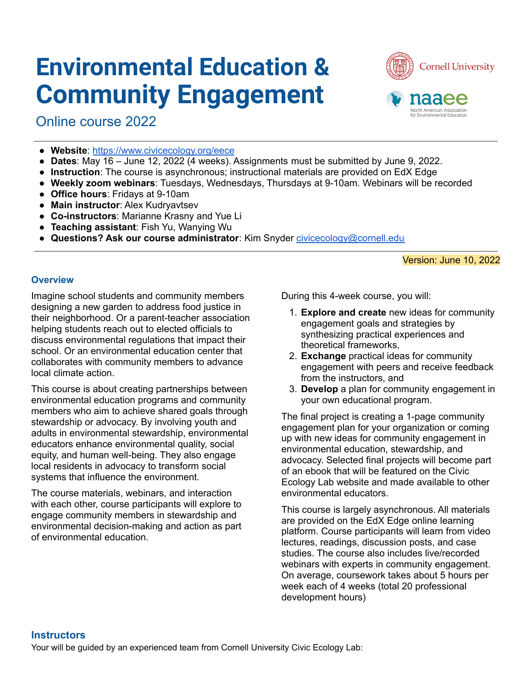# **Environmental Education & Community Engagement**

Online course 2022



- **Website**: <https://www.civicecology.org/eece>
- **Dates**: May 16 June 12, 2022 (4 weeks). Assignments must be submitted by June 9, 2022.
- **Instruction**: The course is asynchronous; instructional materials are provided on EdX Edge
- **Weekly zoom webinars**: Tuesdays, Wednesdays, Thursdays at 9-10am. Webinars will be recorded
- **Office hours**: Fridays at 9-10am
- **Main instructor**: Alex Kudryavtsev
- **Co-instructors**: Marianne Krasny and Yue Li
- **Teaching assistant**: Fish Yu, Wanying Wu
- **Questions? Ask our course administrator**: Kim Snyder [civicecology@cornell.edu](mailto:civicecology@cornell.edu)

Version: June 10, 2022

#### **Overview**

Imagine school students and community members designing a new garden to address food justice in their neighborhood. Or a parent-teacher association helping students reach out to elected officials to discuss environmental regulations that impact their school. Or an environmental education center that collaborates with community members to advance local climate action.

This course is about creating partnerships between environmental education programs and community members who aim to achieve shared goals through stewardship or advocacy. By involving youth and adults in environmental stewardship, environmental educators enhance environmental quality, social equity, and human well-being. They also engage local residents in advocacy to transform social systems that influence the environment.

The course materials, webinars, and interaction with each other, course participants will explore to engage community members in stewardship and environmental decision-making and action as part of environmental education.

During this 4-week course, you will:

- 1. **Explore and create** new ideas for community engagement goals and strategies by synthesizing practical experiences and theoretical frameworks,
- 2. **Exchange** practical ideas for community engagement with peers and receive feedback from the instructors, and
- 3. **Develop** a plan for community engagement in your own educational program.

The final project is creating a 1-page community engagement plan for your organization or coming up with new ideas for community engagement in environmental education, stewardship, and advocacy. Selected final projects will become part of an ebook that will be featured on the Civic Ecology Lab website and made available to other environmental educators.

This course is largely asynchronous. All materials are provided on the EdX Edge online learning platform. Course participants will learn from video lectures, readings, discussion posts, and case studies. The course also includes live/recorded webinars with experts in community engagement. On average, coursework takes about 5 hours per week each of 4 weeks (total 20 professional development hours)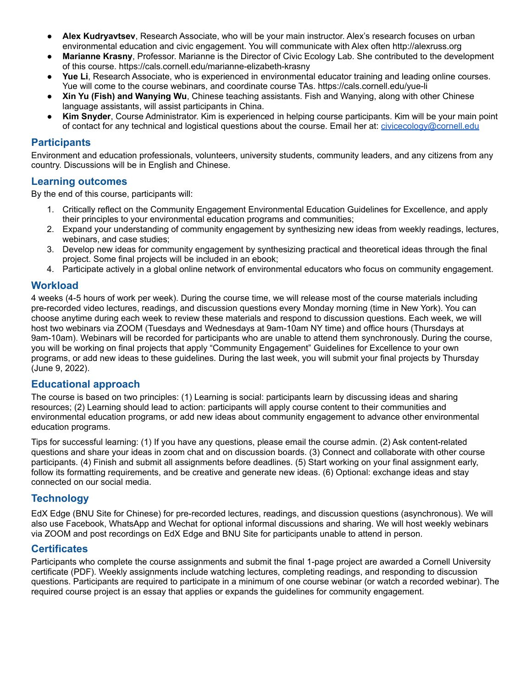- **Alex Kudryavtsev**, Research Associate, who will be your main instructor. Alex's research focuses on urban environmental education and civic engagement. You will communicate with Alex often http://alexruss.org
- **Marianne Krasny**, Professor. Marianne is the Director of Civic Ecology Lab. She contributed to the development of this course. https://cals.cornell.edu/marianne-elizabeth-krasny
- Yue Li, Research Associate, who is experienced in environmental educator training and leading online courses. Yue will come to the course webinars, and coordinate course TAs. https://cals.cornell.edu/yue-li
- **Xin Yu (Fish) and Wanying Wu**, Chinese teaching assistants. Fish and Wanying, along with other Chinese language assistants, will assist participants in China.
- **Kim Snyder**, Course Administrator. Kim is experienced in helping course participants. Kim will be your main point of contact for any technical and logistical questions about the course. Email her at: [civicecology@cornell.edu](mailto:civicecology@cornell.edu)

#### **Participants**

Environment and education professionals, volunteers, university students, community leaders, and any citizens from any country. Discussions will be in English and Chinese.

#### **Learning outcomes**

By the end of this course, participants will:

- 1. Critically reflect on the Community Engagement Environmental Education Guidelines for Excellence, and apply their principles to your environmental education programs and communities;
- 2. Expand your understanding of community engagement by synthesizing new ideas from weekly readings, lectures, webinars, and case studies;
- 3. Develop new ideas for community engagement by synthesizing practical and theoretical ideas through the final project. Some final projects will be included in an ebook;
- 4. Participate actively in a global online network of environmental educators who focus on community engagement.

#### **Workload**

4 weeks (4-5 hours of work per week). During the course time, we will release most of the course materials including pre-recorded video lectures, readings, and discussion questions every Monday morning (time in New York). You can choose anytime during each week to review these materials and respond to discussion questions. Each week, we will host two webinars via ZOOM (Tuesdays and Wednesdays at 9am-10am NY time) and office hours (Thursdays at 9am-10am). Webinars will be recorded for participants who are unable to attend them synchronously. During the course, you will be working on final projects that apply "Community Engagement" Guidelines for Excellence to your own programs, or add new ideas to these guidelines. During the last week, you will submit your final projects by Thursday (June 9, 2022).

#### **Educational approach**

The course is based on two principles: (1) Learning is social: participants learn by discussing ideas and sharing resources; (2) Learning should lead to action: participants will apply course content to their communities and environmental education programs, or add new ideas about community engagement to advance other environmental education programs.

Tips for successful learning: (1) If you have any questions, please email the course admin. (2) Ask content-related questions and share your ideas in zoom chat and on discussion boards. (3) Connect and collaborate with other course participants. (4) Finish and submit all assignments before deadlines. (5) Start working on your final assignment early, follow its formatting requirements, and be creative and generate new ideas. (6) Optional: exchange ideas and stay connected on our social media.

### **Technology**

EdX Edge (BNU Site for Chinese) for pre-recorded lectures, readings, and discussion questions (asynchronous). We will also use Facebook, WhatsApp and Wechat for optional informal discussions and sharing. We will host weekly webinars via ZOOM and post recordings on EdX Edge and BNU Site for participants unable to attend in person.

#### **Certificates**

Participants who complete the course assignments and submit the final 1-page project are awarded a Cornell University certificate (PDF). Weekly assignments include watching lectures, completing readings, and responding to discussion questions. Participants are required to participate in a minimum of one course webinar (or watch a recorded webinar). The required course project is an essay that applies or expands the guidelines for community engagement.